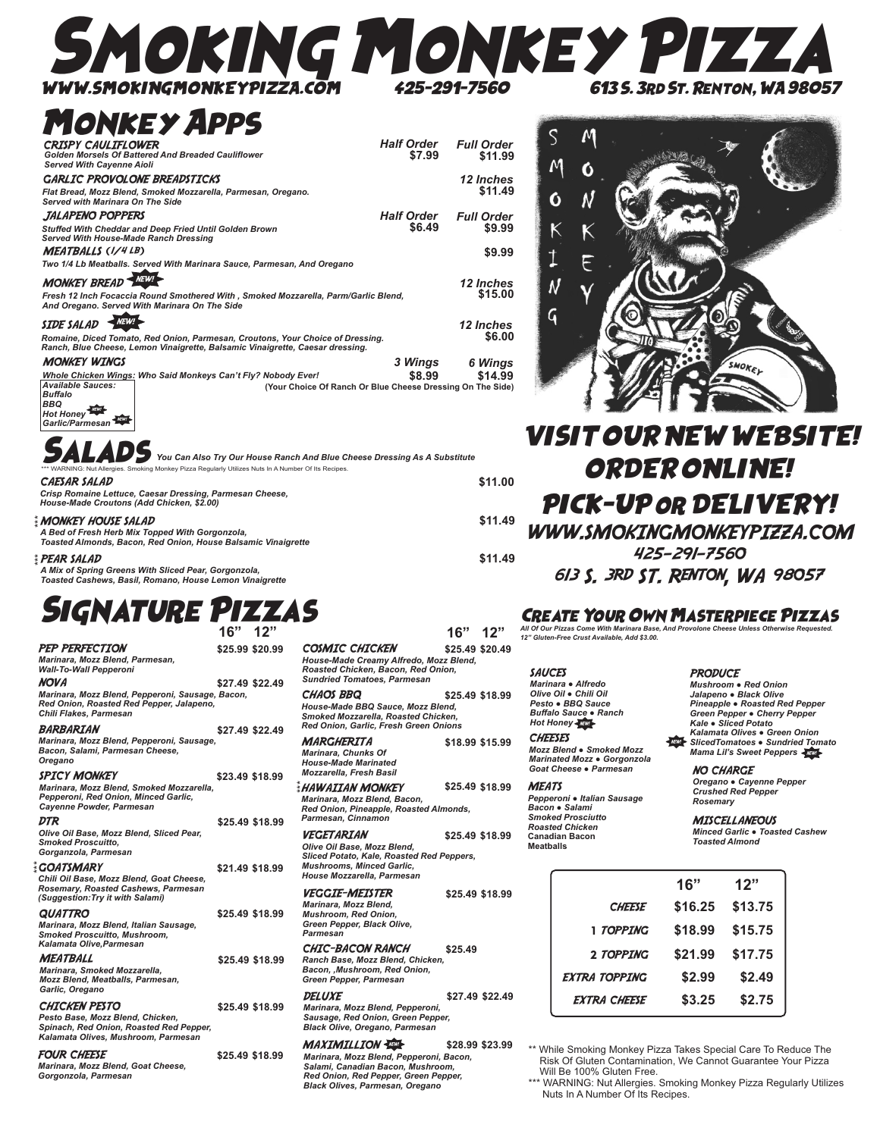# MOKING MONKEY PI WWW.SMOKINGMONKEYPIZZA.COM 425-291-7560 613 S. 3rd St. Renton, WA 98057

### Monkey Apps

| <b>CRISPY CAULIFLOWER</b><br>Golden Morsels Of Battered And Breaded Cauliflower<br><b>Served With Cayenne Aioli</b>                                                                  | <b>Half Order</b><br>\$7.99 | <b>Full Order</b><br>\$11.99 |
|--------------------------------------------------------------------------------------------------------------------------------------------------------------------------------------|-----------------------------|------------------------------|
| <b>GARLIC PROVOLONE BREADSTICKS</b><br>Flat Bread, Mozz Blend, Smoked Mozzarella, Parmesan, Oregano.<br>Served with Marinara On The Side                                             |                             | <b>12 Inches</b><br>\$11.49  |
| JALAPENO POPPERS<br>Stuffed With Cheddar and Deep Fried Until Golden Brown<br>Served With House-Made Ranch Dressing                                                                  | <b>Half Order</b><br>\$6.49 | <b>Full Order</b><br>\$9.99  |
| <b>MEATBALLS (I/4LB)</b><br>Two 1/4 Lb Meatballs. Served With Marinara Sauce, Parmesan, And Oregano                                                                                  |                             | \$9.99                       |
| <b>MONKEY BREAD</b><br>Fresh 12 Inch Focaccia Round Smothered With, Smoked Mozzarella, Parm/Garlic Blend,<br>And Oregano. Served With Marinara On The Side                           |                             | 12 Inches<br>\$15.00         |
| <b>SIDE SALAD</b><br>Romaine, Diced Tomato, Red Onion, Parmesan, Croutons, Your Choice of Dressing.<br>Ranch, Blue Cheese, Lemon Vinaigrette, Balsamic Vinaigrette, Caesar dressing. |                             | 12 Inches<br>\$6.00          |
| <b>MONKEY WINGS</b><br>Whole Chicken Wings: Who Said Monkeys Can't Fly? Nobody Ever!<br><b>Available Sauces:</b>                                                                     | 3 Wings<br>\$8.99           | 6 Wings<br>\$14.99           |
| (Your Choice Of Ranch Or Blue Cheese Dressing On The Side)<br><b>Buffalo</b><br><b>RRO</b><br>$\sim$ $\sim$                                                                          |                             |                              |



 $\overline{S}$ 

 $\boldsymbol{\mathsf{M}}$ 

 $\ddot{\mathbf{O}}$ 

K

M

 $\ddot{\mathbf{O}}$ 

N

K

**\$11.00** 

**\$11.49** 

**\$11.49** 

### VISIT OUR NEW WEBSITE! ORDER ONLINE! PICK-UP or DELIVERY! WWW.SMOKINGMONKEYPIZZA.COM 425-291-7560 613 S. 3rd ST. Renton, WA 98057

#### Create Your Own Masterpiece Pizzas

*All Of Our Pizzas Come With Marinara Base, And Provolone Cheese Unless Otherwise Requested. 12" Gluten-Free Crust Available, Add \$3.00.* 

SAUCES *Marinara ● Alfredo Olive Oil ● Chili Oil Pesto ● BBQ Sauce Buffalo Sauce ● Ranch* **Hot Honey** 

**CHEESES** *Mozz Blend ● Smoked Mozz Marinated Mozz ● Gorgonzola Goat Cheese ● Parmesan*

**MEATS** *Pepperoni ● Italian Sausage Bacon ● Salami Smoked Prosciutto Roasted Chicken* **Canadian Bacon Meatballs**

**PRODUCE** *Mushroom ● Red Onion Jalapeno ● Black Olive Pineapple ● Roasted Red Pepper Green Pepper ● Cherry Pepper Kale ● Sliced Potato*

SMOKET

NO CHARGE

*Oregano ● Cayenne Pepper Crushed Red Pepper* 

*Minced Garlic ● Toasted Cashew Toasted Almond* 

|                      | 16"     | 12"     |
|----------------------|---------|---------|
| <b>CHEESE</b>        | \$16.25 | \$13.75 |
| 1 TOPPING            | \$18.99 | \$15.75 |
| 2 TOPPING            | \$21.99 | \$17.75 |
| <b>EXTRA TOPPING</b> | \$2.99  | \$2.49  |
| <b>EXTRA CHEESE</b>  | \$3.25  | \$2.75  |

\*\* While Smoking Monkey Pizza Takes Special Care To Reduce The Risk Of Gluten Contamination, We Cannot Guarantee Your Pizza Will Be 100% Gluten Free.

\*\*\* WARNING: Nut Allergies. Smoking Monkey Pizza Regularly Utilizes Nuts In A Number Of Its Recipes.

| You Can Also Try Our House Ranch And Blue Cheese Dressing As A Substitute                                        |
|------------------------------------------------------------------------------------------------------------------|
| *** WARNING: Nut Allergies. Smoking Monkey Pizza Regularly Utilizes Nuts In A Number Of Its Recipes.             |
| <b>CAESAR SALAD</b>                                                                                              |
| Crisp Romaine Lettuce, Caesar Dressing, Parmesan Cheese,<br>House-Made Croutons (Add Chicken, \$2.00)            |
| MONKEY HOUSE SALAD!                                                                                              |
| A Bed of Fresh Herb Mix Topped With Gorgonzola,<br>Toasted Almonds, Bacon, Red Onion, House Balsamic Vinaigrette |
| PEAR SALAD ?                                                                                                     |

#### *A Mix of Spring Greens With Sliced Pear, Gorgonzola, Toasted Cashews, Basil, Romano, House Lemon Vinaigrette*

*BBQ*<br>Hot Honey Garlic/Parmesan

EAI ARE

### Signature Pizzas

|                                                                                                                                            | $16"$ $12"$     |                 |
|--------------------------------------------------------------------------------------------------------------------------------------------|-----------------|-----------------|
| <b>PEP PERFECTION</b><br>Marinara, Mozz Blend, Parmesan,<br><b>Wall-To-Wall Pepperoni</b>                                                  | \$25.99 \$20.99 |                 |
| NOVA<br>Marinara, Mozz Blend, Pepperoni, Sausage, Bacon,<br>Red Onion, Roasted Red Pepper, Jalapeno,<br>Chili Flakes, Parmesan             |                 | \$27.49 \$22.49 |
| <i><b>BARBARIAN</b></i><br>Marinara, Mozz Blend, Pepperoni, Sausage,<br>Bacon, Salami, Parmesan Cheese.<br>Oregano                         |                 | \$27.49 \$22.49 |
| <b>SPICY MONKEY</b><br>Marinara, Mozz Blend, Smoked Mozzarella,<br>Pepperoni, Red Onion, Minced Garlic,<br>Cayenne Powder, Parmesan        |                 | \$23.49 \$18.99 |
| DTR<br>Olive Oil Base, Mozz Blend, Sliced Pear,<br><b>Smoked Proscuitto.</b><br>Gorganzola, Parmesan                                       |                 | \$25.49 \$18.99 |
| <b>COATSMARY</b><br>Chili Oil Base, Mozz Blend, Goat Cheese,<br>Rosemary, Roasted Cashews, Parmesan<br>(Suggestion: Try it with Salami)    | \$21.49 \$18.99 |                 |
| <b>QUATTRO</b><br>Marinara, Mozz Blend, Italian Sausage,<br>Smoked Proscuitto, Mushroom,<br>Kalamata Olive.Parmesan                        |                 | \$25.49 \$18.99 |
| <b>MEATBALL</b><br>Marinara, Smoked Mozzarella,<br>Mozz Blend, Meatballs, Parmesan,<br>Garlic, Oregano                                     |                 | \$25.49 \$18.99 |
| <b>CHICKEN PESTO</b><br>Pesto Base, Mozz Blend, Chicken,<br>Spinach, Red Onion, Roasted Red Pepper,<br>Kalamata Olives, Mushroom, Parmesan |                 | \$25.49 \$18.99 |
| <b>FOUR CHEESE</b><br>Marinara, Mozz Blend, Goat Cheese,<br>Gorgonzola, Parmesan                                                           |                 | \$25.49 \$18.99 |

| CHAOS BBQ<br>\$25.49 \$18.99<br>House-Made BBQ Sauce, Mozz Blend,<br>Smoked Mozzarella, Roasted Chicken,<br>Red Onion, Garlic, Fresh Green Onions<br><b>MARGHERITA</b><br>\$18.99 \$15.99<br>Marinara, Chunks Of<br><b>House-Made Marinated</b><br>Mozzarella, Fresh Basil<br><b>HAWAIIAN MONKEY</b><br>\$25.49 \$18.99<br>Marinara, Mozz Blend, Bacon,<br>Red Onion, Pineapple, Roasted Almonds,<br>Parmesan, Cinnamon<br><i><b>VEGETARIAN</b></i><br>\$25.49 \$18.99<br>Olive Oil Base, Mozz Blend,<br>Sliced Potato, Kale, Roasted Red Peppers,<br><b>Mushrooms, Minced Garlic,</b><br>House Mozzarella, Parmesan<br><i><b>VEGGIE-MEISTER</b></i><br>\$25.49 \$18.99<br>Marinara, Mozz Blend,<br><b>Mushroom, Red Onion,</b><br>Green Pepper, Black Olive,<br>Parmesan<br>CHIC-BACON RANCH<br>\$25.49<br>Ranch Base, Mozz Blend, Chicken,<br>Bacon, , Mushroom, Red Onion,<br>Green Pepper, Parmesan<br><i><b>DELUXE</b></i><br>\$27.49 \$22.49<br>Marinara, Mozz Blend, Pepperoni,<br>Sausage, Red Onion, Green Pepper,<br><b>Black Olive, Oregano, Parmesan</b><br><b>MAXIMILLION WEST-</b><br>\$28.99 \$23.99 | LOSMIL LHILKEN<br>House-Made Creamy Alfredo, Mozz Blend,<br>Roasted Chicken, Bacon, Red Onion,<br><b>Sundried Tomatoes, Parmesan</b> | \$25.49 \$20.49 |
|---------------------------------------------------------------------------------------------------------------------------------------------------------------------------------------------------------------------------------------------------------------------------------------------------------------------------------------------------------------------------------------------------------------------------------------------------------------------------------------------------------------------------------------------------------------------------------------------------------------------------------------------------------------------------------------------------------------------------------------------------------------------------------------------------------------------------------------------------------------------------------------------------------------------------------------------------------------------------------------------------------------------------------------------------------------------------------------------------------------------|--------------------------------------------------------------------------------------------------------------------------------------|-----------------|
|                                                                                                                                                                                                                                                                                                                                                                                                                                                                                                                                                                                                                                                                                                                                                                                                                                                                                                                                                                                                                                                                                                                     |                                                                                                                                      |                 |
|                                                                                                                                                                                                                                                                                                                                                                                                                                                                                                                                                                                                                                                                                                                                                                                                                                                                                                                                                                                                                                                                                                                     |                                                                                                                                      |                 |
|                                                                                                                                                                                                                                                                                                                                                                                                                                                                                                                                                                                                                                                                                                                                                                                                                                                                                                                                                                                                                                                                                                                     |                                                                                                                                      |                 |
|                                                                                                                                                                                                                                                                                                                                                                                                                                                                                                                                                                                                                                                                                                                                                                                                                                                                                                                                                                                                                                                                                                                     |                                                                                                                                      |                 |
|                                                                                                                                                                                                                                                                                                                                                                                                                                                                                                                                                                                                                                                                                                                                                                                                                                                                                                                                                                                                                                                                                                                     |                                                                                                                                      |                 |
|                                                                                                                                                                                                                                                                                                                                                                                                                                                                                                                                                                                                                                                                                                                                                                                                                                                                                                                                                                                                                                                                                                                     |                                                                                                                                      |                 |
|                                                                                                                                                                                                                                                                                                                                                                                                                                                                                                                                                                                                                                                                                                                                                                                                                                                                                                                                                                                                                                                                                                                     |                                                                                                                                      |                 |
| Marinara Mess Pland Bennerani Pesan                                                                                                                                                                                                                                                                                                                                                                                                                                                                                                                                                                                                                                                                                                                                                                                                                                                                                                                                                                                                                                                                                 |                                                                                                                                      |                 |

#### $\overline{C}$ **16" 12" \$25.49 \$20.49**

*Marinara, Mozz Blend, Pepperoni, Bacon, Salami, Canadian Bacon, Mushroom, Red Onion, Red Pepper, Green Pepper, Black Olives, Parmesan, Oregano*

NEW!

# *Kalamata Olives ● Green Onion SlicedTomatoes ● Sundried Tomato Mama Lil's Sweet Peppers* NEW!

*Rosemary*

#### MISCELLANEOUS